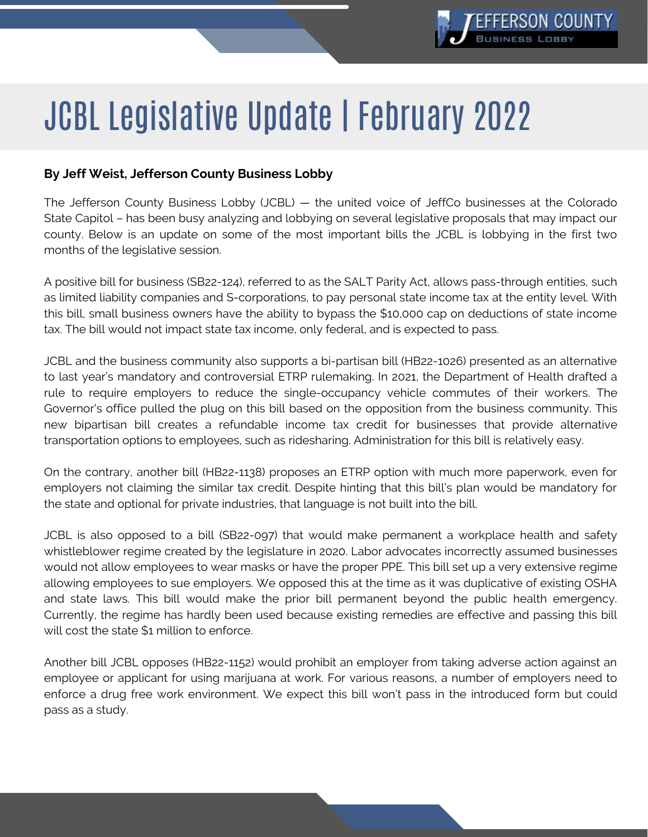

## JCBL Legislative Update | February 2022

## **By Jeff Weist, Jefferson County Business Lobby**

The Jefferson County Business Lobby (JCBL) — the united voice of JeffCo businesses at the Colorado State Capitol – has been busy analyzing and lobbying on several legislative proposals that may impact our county. Below is an update on some of the most important bills the JCBL is lobbying in the first two months of the legislative session.

A positive bill for business (SB22-124), referred to as the SALT Parity Act, allows pass-through entities, such as limited liability companies and S-corporations, to pay personal state income tax at the entity level. With this bill, small business owners have the ability to bypass the \$10,000 cap on deductions of state income tax. The bill would not impact state tax income, only federal, and is expected to pass.

JCBL and the business community also supports a bi-partisan bill (HB22-1026) presented as an alternative to last year's mandatory and controversial ETRP rulemaking. In 2021, the Department of Health drafted a rule to require employers to reduce the single-occupancy vehicle commutes of their workers. The Governor's office pulled the plug on this bill based on the opposition from the business community. This new bipartisan bill creates a refundable income tax credit for businesses that provide alternative transportation options to employees, such as ridesharing. Administration for this bill is relatively easy.

On the contrary, another bill (HB22-1138) proposes an ETRP option with much more paperwork, even for employers not claiming the similar tax credit. Despite hinting that this bill's plan would be mandatory for the state and optional for private industries, that language is not built into the bill.

JCBL is also opposed to a bill (SB22-097) that would make permanent a workplace health and safety whistleblower regime created by the legislature in 2020. Labor advocates incorrectly assumed businesses would not allow employees to wear masks or have the proper PPE. This bill set up a very extensive regime allowing employees to sue employers. We opposed this at the time as it was duplicative of existing OSHA and state laws. This bill would make the prior bill permanent beyond the public health emergency. Currently, the regime has hardly been used because existing remedies are effective and passing this bill will cost the state \$1 million to enforce.

Another bill JCBL opposes (HB22-1152) would prohibit an employer from taking adverse action against an employee or applicant for using marijuana at work. For various reasons, a number of employers need to enforce a drug free work environment. We expect this bill won't pass in the introduced form but could pass as a study.